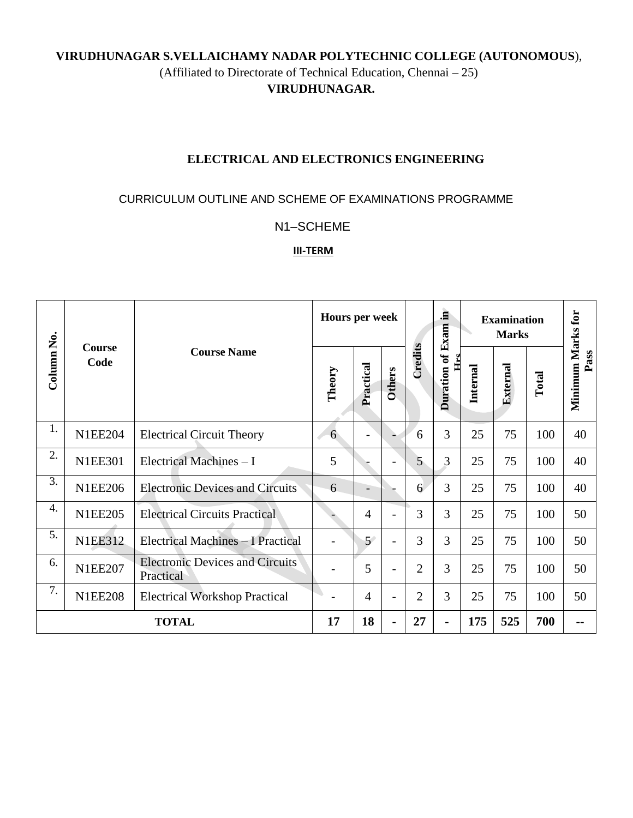## **VIRUDHUNAGAR S.VELLAICHAMY NADAR POLYTECHNIC COLLEGE (AUTONOMOUS**), (Affiliated to Directorate of Technical Education, Chennai – 25) **VIRUDHUNAGAR.**

## **ELECTRICAL AND ELECTRONICS ENGINEERING**

#### CURRICULUM OUTLINE AND SCHEME OF EXAMINATIONS PROGRAMME

### N1–SCHEME

#### **III-TERM**

|                  | Course<br>Code | <b>Course Name</b>                                  | <b>Hours per week</b>    |                          |               |                | <b>Examination</b>         |          |                 |       |                           |
|------------------|----------------|-----------------------------------------------------|--------------------------|--------------------------|---------------|----------------|----------------------------|----------|-----------------|-------|---------------------------|
| Column No.       |                |                                                     | Theory                   | Practical                | <b>Others</b> | Credits        | Duration of Exam in<br>Hrs | Internal | <b>External</b> | Total | Minimum Marks for<br>Pass |
| 1.               | <b>N1EE204</b> | <b>Electrical Circuit Theory</b>                    | 6                        |                          |               | 6              | 3                          | 25       | 75              | 100   | 40                        |
| 2.               | <b>N1EE301</b> | Electrical Machines - I                             | 5                        |                          |               | $\overline{5}$ | 3                          | 25       | 75              | 100   | 40                        |
| 3.               | <b>N1EE206</b> | <b>Electronic Devices and Circuits</b>              | 6                        | $\overline{\phantom{0}}$ |               | 6              | 3                          | 25       | 75              | 100   | 40                        |
| $\overline{4}$ . | <b>N1EE205</b> | <b>Electrical Circuits Practical</b>                |                          | $\overline{4}$           |               | 3              | 3                          | 25       | 75              | 100   | 50                        |
| 5.               | <b>N1EE312</b> | Electrical Machines - I Practical                   | $\overline{\phantom{a}}$ | 5 <sup>′</sup>           |               | 3              | 3                          | 25       | 75              | 100   | 50                        |
| 6.               | <b>N1EE207</b> | <b>Electronic Devices and Circuits</b><br>Practical |                          | 5                        |               | $\overline{2}$ | 3                          | 25       | 75              | 100   | 50                        |
| 7.               | <b>N1EE208</b> | <b>Electrical Workshop Practical</b>                |                          | $\overline{4}$           |               | $\overline{2}$ | 3                          | 25       | 75              | 100   | 50                        |
| <b>TOTAL</b>     |                |                                                     | 17                       | 18                       |               | 27             |                            | 175      | 525             | 700   | $\blacksquare$            |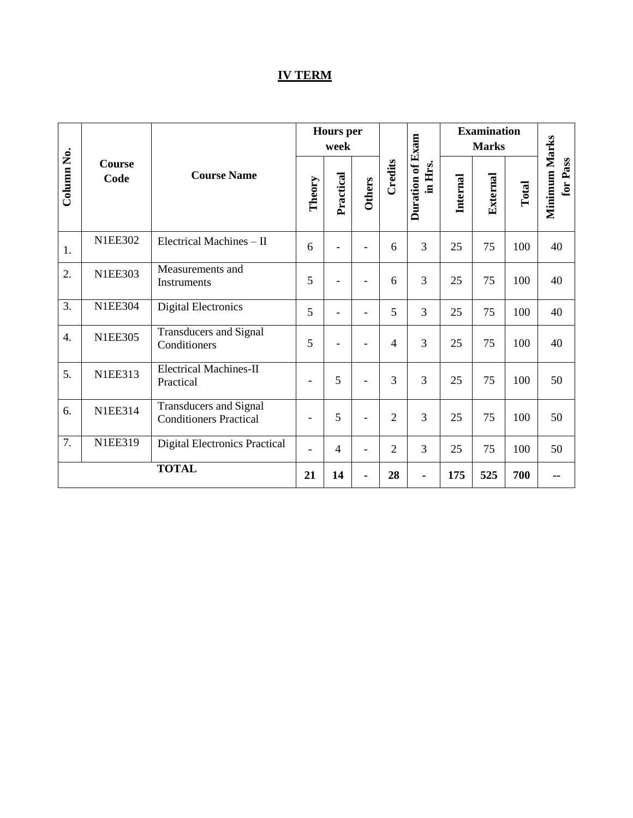# **IV TERM**

|                  |                       | <b>Course Name</b>                                             |                          | <b>Hours</b> per<br>week |                          |                |                             | <b>Examination</b><br><b>Marks</b> |          |       |                           |
|------------------|-----------------------|----------------------------------------------------------------|--------------------------|--------------------------|--------------------------|----------------|-----------------------------|------------------------------------|----------|-------|---------------------------|
| Column No.       | <b>Course</b><br>Code |                                                                | Theory                   | Practical                | Others                   | Credits        | Duration of Exam<br>in Hrs. | <b>Internal</b>                    | External | Total | Minimum Marks<br>for Pass |
| 1.               | <b>N1EE302</b>        | Electrical Machines - II                                       | 6                        | $\overline{\phantom{a}}$ | $\overline{\phantom{a}}$ | 6              | $\overline{3}$              | 25                                 | 75       | 100   | 40                        |
| 2.               | <b>N1EE303</b>        | Measurements and<br>Instruments                                | 5                        | $\overline{\phantom{a}}$ | $\overline{\phantom{a}}$ | 6              | 3                           | 25                                 | 75       | 100   | 40                        |
| 3.               | <b>N1EE304</b>        | <b>Digital Electronics</b>                                     | 5                        | L,                       |                          | 5              | $\overline{3}$              | 25                                 | 75       | 100   | 40                        |
| $\overline{4}$ . | <b>N1EE305</b>        | <b>Transducers and Signal</b><br>Conditioners                  | 5                        | $\overline{\phantom{a}}$ | $\overline{\phantom{a}}$ | $\overline{4}$ | $\overline{3}$              | 25                                 | 75       | 100   | 40                        |
| 5.               | <b>N1EE313</b>        | <b>Electrical Machines-II</b><br>Practical                     | $\overline{\phantom{a}}$ | 5                        | $\overline{a}$           | 3              | 3                           | 25                                 | 75       | 100   | 50                        |
| 6.               | <b>N1EE314</b>        | <b>Transducers and Signal</b><br><b>Conditioners Practical</b> | $\overline{\phantom{a}}$ | 5                        | $\overline{\phantom{a}}$ | $\overline{2}$ | $\overline{3}$              | 25                                 | 75       | 100   | 50                        |
| 7.               | <b>N1EE319</b>        | <b>Digital Electronics Practical</b>                           | $\blacksquare$           | $\overline{4}$           | $\blacksquare$           | $\overline{2}$ | $\overline{3}$              | 25                                 | 75       | 100   | 50                        |
| <b>TOTAL</b>     |                       |                                                                | 21                       | 14                       | $\blacksquare$           | 28             |                             | 175                                | 525      | 700   |                           |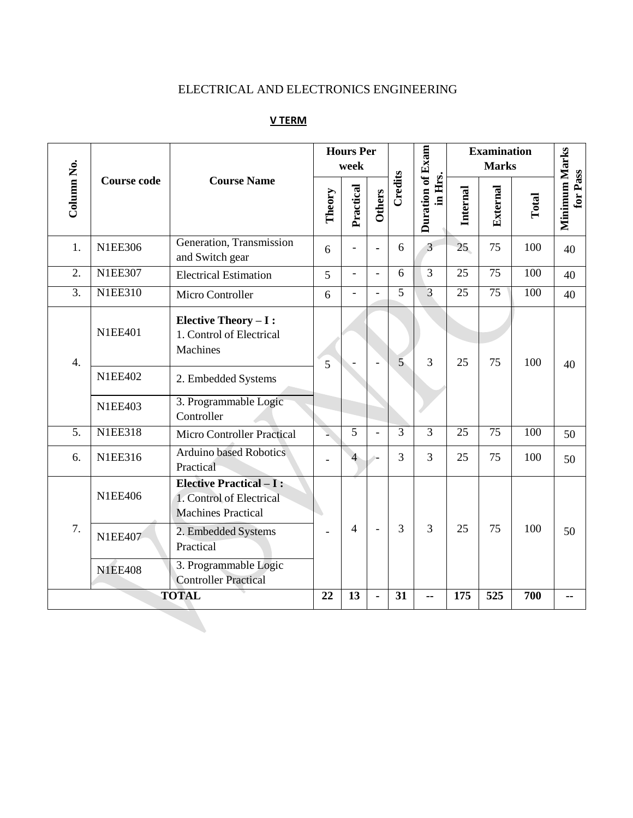## ELECTRICAL AND ELECTRONICS ENGINEERING

|                  |                    |                                                                                         | <b>Hours Per</b><br>week |                          |                          |                |                             | <b>Examination</b> |                  |       |                           |
|------------------|--------------------|-----------------------------------------------------------------------------------------|--------------------------|--------------------------|--------------------------|----------------|-----------------------------|--------------------|------------------|-------|---------------------------|
| Column No.       | <b>Course code</b> | <b>Course Name</b>                                                                      | Theory                   | Practical                | <b>Others</b>            | Credits        | Duration of Exam<br>in Hrs. | Internal           | External         | Total | Minimum Marks<br>for Pass |
| 1.               | <b>N1EE306</b>     | Generation, Transmission<br>and Switch gear                                             | 6                        |                          |                          | 6              | $\overline{3}$              | 25                 | 75               | 100   | 40                        |
| $\overline{2}$ . | <b>N1EE307</b>     | <b>Electrical Estimation</b>                                                            | 5                        | $\overline{\phantom{0}}$ | $\overline{\phantom{a}}$ | 6              | $\overline{3}$              | $\overline{25}$    | 75               | 100   | 40                        |
| 3.               | <b>N1EE310</b>     | Micro Controller                                                                        | 6                        | $\overline{a}$           | $\overline{\phantom{0}}$ | 5              | 3                           | 25                 | 75               | 100   | 40                        |
| $\overline{4}$ . | <b>N1EE401</b>     | <b>Elective Theory - I:</b><br>1. Control of Electrical<br><b>Machines</b>              | 5                        |                          |                          | $\overline{5}$ | $\overline{3}$              | 25                 | 75               | 100   | 40                        |
|                  | <b>N1EE402</b>     | 2. Embedded Systems                                                                     |                          |                          |                          |                |                             |                    |                  |       |                           |
|                  | <b>N1EE403</b>     | 3. Programmable Logic<br>Controller                                                     |                          |                          |                          |                |                             |                    |                  |       |                           |
| $\overline{5}$ . | <b>N1EE318</b>     | <b>Micro Controller Practical</b>                                                       |                          | 5                        |                          | 3              | 3                           | 25                 | 75               | 100   | 50                        |
| 6.               | <b>N1EE316</b>     | <b>Arduino based Robotics</b><br>Practical                                              |                          | $\overline{4}$           | $\sim$                   | 3              | 3                           | 25                 | 75               | 100   | 50                        |
|                  | <b>N1EE406</b>     | <b>Elective Practical - I:</b><br>1. Control of Electrical<br><b>Machines Practical</b> |                          |                          |                          |                |                             | 25                 | 75               |       | 50                        |
| 7.               | <b>N1EE407</b>     | 2. Embedded Systems<br>Practical                                                        |                          | $\overline{4}$           | $\blacksquare$           | 3              | $\overline{3}$              |                    |                  | 100   |                           |
|                  | <b>N1EE408</b>     | 3. Programmable Logic<br><b>Controller Practical</b>                                    |                          |                          |                          |                |                             |                    |                  |       |                           |
| <b>TOTAL</b>     |                    |                                                                                         | 22                       | 13                       |                          | 31             | --                          | $\overline{175}$   | $\overline{525}$ | 700   |                           |

## **V TERM**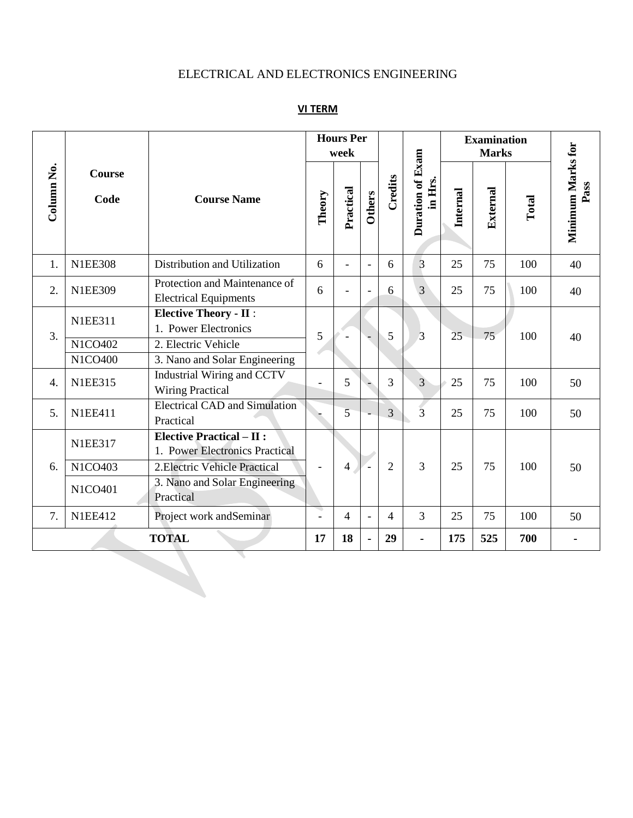# ELECTRICAL AND ELECTRONICS ENGINEERING

## **VI TERM**

|                       |                |                                                                   |        | <b>Hours Per</b><br>week |                          |                |                             | <b>Examination</b> |          |       |                           |
|-----------------------|----------------|-------------------------------------------------------------------|--------|--------------------------|--------------------------|----------------|-----------------------------|--------------------|----------|-------|---------------------------|
| Column <sub>No.</sub> | Course<br>Code | <b>Course Name</b>                                                | Theory | Practical                | Others                   | Credits        | Duration of Exam<br>in Hrs. | Internal           | External | Total | Minimum Marks for<br>Pass |
| 1.                    | <b>N1EE308</b> | Distribution and Utilization                                      | 6      |                          | $\overline{a}$           | 6              | 3                           | 25                 | 75       | 100   | 40                        |
| 2.                    | <b>N1EE309</b> | Protection and Maintenance of<br><b>Electrical Equipments</b>     | 6      |                          | $\blacksquare$           | 6              | 3                           | 25                 | 75       | 100   | 40                        |
| 3.                    | <b>N1EE311</b> | <b>Elective Theory - II:</b><br>1. Power Electronics              | 5      |                          |                          | 5              | 3                           | 25                 | 75       | 100   | 40                        |
|                       | N1CO402        | 2. Electric Vehicle                                               |        |                          |                          |                |                             |                    |          |       |                           |
|                       | N1CO400        | 3. Nano and Solar Engineering                                     |        |                          |                          |                |                             |                    |          |       |                           |
| 4.                    | <b>N1EE315</b> | Industrial Wiring and CCTV<br><b>Wiring Practical</b>             |        | 5                        |                          | 3              | $\overline{3}$              | 25                 | 75       | 100   | 50                        |
| 5.                    | <b>N1EE411</b> | <b>Electrical CAD</b> and Simulation<br>Practical                 |        | 5                        |                          | $\overline{3}$ | $\overline{3}$              | 25                 | 75       | 100   | 50                        |
|                       | <b>N1EE317</b> | <b>Elective Practical - II:</b><br>1. Power Electronics Practical |        |                          |                          |                |                             |                    |          |       |                           |
| 6.                    | N1CO403        | 2. Electric Vehicle Practical                                     |        | 4                        |                          | $\overline{2}$ | 3                           | 25                 | 75       | 100   | 50                        |
|                       | N1CO401        | 3. Nano and Solar Engineering<br>Practical                        |        |                          |                          |                |                             |                    |          |       |                           |
| 7.                    | <b>N1EE412</b> | Project work and Seminar                                          |        | 4                        | $\overline{\phantom{a}}$ | $\overline{4}$ | 3                           | 25                 | 75       | 100   | 50                        |
| <b>TOTAL</b>          |                |                                                                   | 17     | 18                       | ä,                       | 29             |                             | 175                | 525      | 700   |                           |